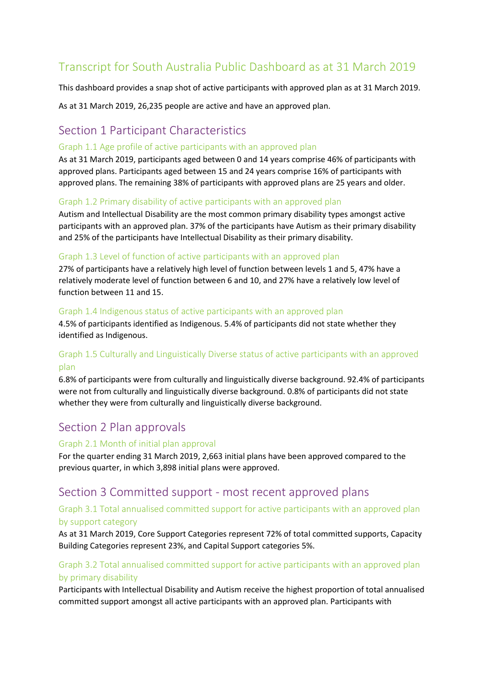# Transcript for South Australia Public Dashboard as at 31 March 2019

This dashboard provides a snap shot of active participants with approved plan as at 31 March 2019.

As at 31 March 2019, 26,235 people are active and have an approved plan.

# Section 1 Participant Characteristics

#### Graph 1.1 Age profile of active participants with an approved plan

As at 31 March 2019, participants aged between 0 and 14 years comprise 46% of participants with approved plans. Participants aged between 15 and 24 years comprise 16% of participants with approved plans. The remaining 38% of participants with approved plans are 25 years and older.

#### Graph 1.2 Primary disability of active participants with an approved plan

Autism and Intellectual Disability are the most common primary disability types amongst active participants with an approved plan. 37% of the participants have Autism as their primary disability and 25% of the participants have Intellectual Disability as their primary disability.

#### Graph 1.3 Level of function of active participants with an approved plan

27% of participants have a relatively high level of function between levels 1 and 5, 47% have a relatively moderate level of function between 6 and 10, and 27% have a relatively low level of function between 11 and 15.

#### Graph 1.4 Indigenous status of active participants with an approved plan

4.5% of participants identified as Indigenous. 5.4% of participants did not state whether they identified as Indigenous.

# Graph 1.5 Culturally and Linguistically Diverse status of active participants with an approved plan

6.8% of participants were from culturally and linguistically diverse background. 92.4% of participants were not from culturally and linguistically diverse background. 0.8% of participants did not state whether they were from culturally and linguistically diverse background.

# Section 2 Plan approvals

#### Graph 2.1 Month of initial plan approval

For the quarter ending 31 March 2019, 2,663 initial plans have been approved compared to the previous quarter, in which 3,898 initial plans were approved.

# Section 3 Committed support - most recent approved plans

#### Graph 3.1 Total annualised committed support for active participants with an approved plan by support category

As at 31 March 2019, Core Support Categories represent 72% of total committed supports, Capacity Building Categories represent 23%, and Capital Support categories 5%.

# Graph 3.2 Total annualised committed support for active participants with an approved plan by primary disability

Participants with Intellectual Disability and Autism receive the highest proportion of total annualised committed support amongst all active participants with an approved plan. Participants with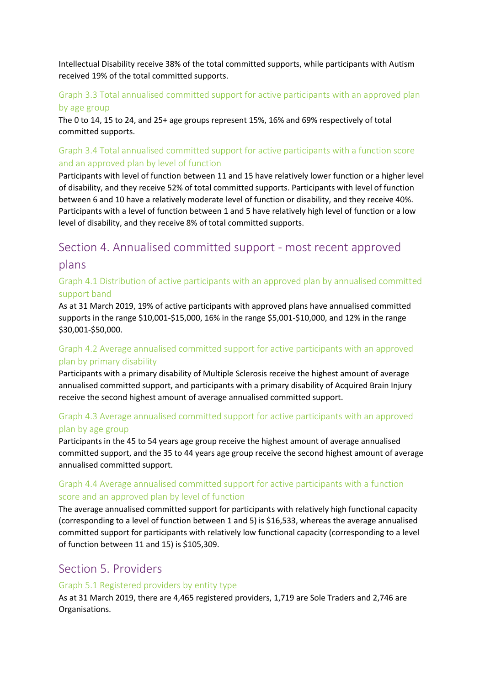Intellectual Disability receive 38% of the total committed supports, while participants with Autism received 19% of the total committed supports.

## Graph 3.3 Total annualised committed support for active participants with an approved plan by age group

The 0 to 14, 15 to 24, and 25+ age groups represent 15%, 16% and 69% respectively of total committed supports.

# Graph 3.4 Total annualised committed support for active participants with a function score and an approved plan by level of function

Participants with level of function between 11 and 15 have relatively lower function or a higher level of disability, and they receive 52% of total committed supports. Participants with level of function between 6 and 10 have a relatively moderate level of function or disability, and they receive 40%. Participants with a level of function between 1 and 5 have relatively high level of function or a low level of disability, and they receive 8% of total committed supports.

# Section 4. Annualised committed support - most recent approved plans

## Graph 4.1 Distribution of active participants with an approved plan by annualised committed support band

As at 31 March 2019, 19% of active participants with approved plans have annualised committed supports in the range \$10,001-\$15,000, 16% in the range \$5,001-\$10,000, and 12% in the range \$30,001-\$50,000.

# Graph 4.2 Average annualised committed support for active participants with an approved plan by primary disability

Participants with a primary disability of Multiple Sclerosis receive the highest amount of average annualised committed support, and participants with a primary disability of Acquired Brain Injury receive the second highest amount of average annualised committed support.

# Graph 4.3 Average annualised committed support for active participants with an approved plan by age group

Participants in the 45 to 54 years age group receive the highest amount of average annualised committed support, and the 35 to 44 years age group receive the second highest amount of average annualised committed support.

# Graph 4.4 Average annualised committed support for active participants with a function score and an approved plan by level of function

The average annualised committed support for participants with relatively high functional capacity (corresponding to a level of function between 1 and 5) is \$16,533, whereas the average annualised committed support for participants with relatively low functional capacity (corresponding to a level of function between 11 and 15) is \$105,309.

# Section 5. Providers

#### Graph 5.1 Registered providers by entity type

As at 31 March 2019, there are 4,465 registered providers, 1,719 are Sole Traders and 2,746 are Organisations.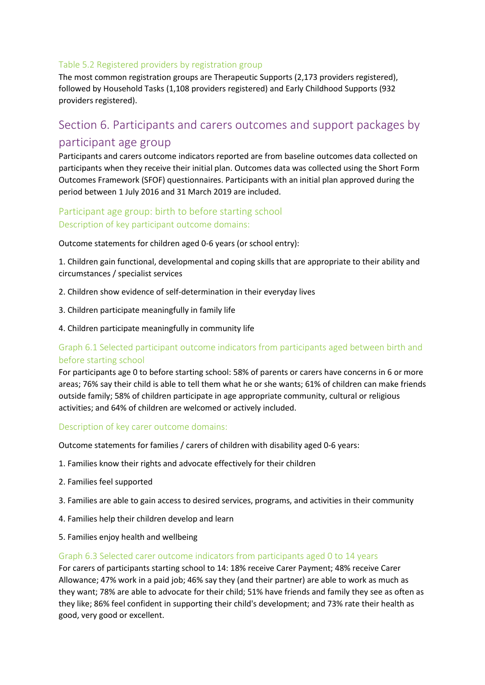#### Table 5.2 Registered providers by registration group

The most common registration groups are Therapeutic Supports (2,173 providers registered), followed by Household Tasks (1,108 providers registered) and Early Childhood Supports (932 providers registered).

# Section 6. Participants and carers outcomes and support packages by participant age group

Participants and carers outcome indicators reported are from baseline outcomes data collected on participants when they receive their initial plan. Outcomes data was collected using the Short Form Outcomes Framework (SFOF) questionnaires. Participants with an initial plan approved during the period between 1 July 2016 and 31 March 2019 are included.

# Participant age group: birth to before starting school Description of key participant outcome domains:

Outcome statements for children aged 0-6 years (or school entry):

1. Children gain functional, developmental and coping skills that are appropriate to their ability and circumstances / specialist services

- 2. Children show evidence of self-determination in their everyday lives
- 3. Children participate meaningfully in family life
- 4. Children participate meaningfully in community life

# Graph 6.1 Selected participant outcome indicators from participants aged between birth and before starting school

For participants age 0 to before starting school: 58% of parents or carers have concerns in 6 or more areas; 76% say their child is able to tell them what he or she wants; 61% of children can make friends outside family; 58% of children participate in age appropriate community, cultural or religious activities; and 64% of children are welcomed or actively included.

#### Description of key carer outcome domains:

Outcome statements for families / carers of children with disability aged 0-6 years:

- 1. Families know their rights and advocate effectively for their children
- 2. Families feel supported
- 3. Families are able to gain access to desired services, programs, and activities in their community
- 4. Families help their children develop and learn
- 5. Families enjoy health and wellbeing

#### Graph 6.3 Selected carer outcome indicators from participants aged 0 to 14 years

For carers of participants starting school to 14: 18% receive Carer Payment; 48% receive Carer Allowance; 47% work in a paid job; 46% say they (and their partner) are able to work as much as they want; 78% are able to advocate for their child; 51% have friends and family they see as often as they like; 86% feel confident in supporting their child's development; and 73% rate their health as good, very good or excellent.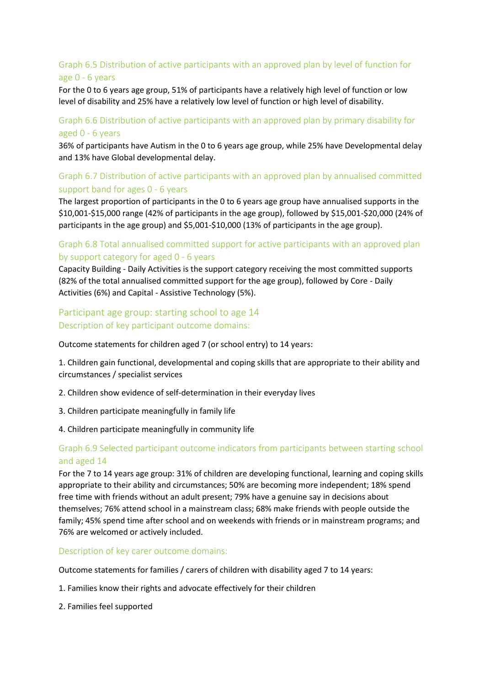# Graph 6.5 Distribution of active participants with an approved plan by level of function for age 0 - 6 years

For the 0 to 6 years age group, 51% of participants have a relatively high level of function or low level of disability and 25% have a relatively low level of function or high level of disability.

#### Graph 6.6 Distribution of active participants with an approved plan by primary disability for aged 0 - 6 years

36% of participants have Autism in the 0 to 6 years age group, while 25% have Developmental delay and 13% have Global developmental delay.

## Graph 6.7 Distribution of active participants with an approved plan by annualised committed support band for ages 0 - 6 years

The largest proportion of participants in the 0 to 6 years age group have annualised supports in the \$10,001-\$15,000 range (42% of participants in the age group), followed by \$15,001-\$20,000 (24% of participants in the age group) and \$5,001-\$10,000 (13% of participants in the age group).

#### Graph 6.8 Total annualised committed support for active participants with an approved plan by support category for aged 0 - 6 years

Capacity Building - Daily Activities is the support category receiving the most committed supports (82% of the total annualised committed support for the age group), followed by Core - Daily Activities (6%) and Capital - Assistive Technology (5%).

## Participant age group: starting school to age 14 Description of key participant outcome domains:

Outcome statements for children aged 7 (or school entry) to 14 years:

1. Children gain functional, developmental and coping skills that are appropriate to their ability and circumstances / specialist services

- 2. Children show evidence of self-determination in their everyday lives
- 3. Children participate meaningfully in family life
- 4. Children participate meaningfully in community life

#### Graph 6.9 Selected participant outcome indicators from participants between starting school and aged 14

For the 7 to 14 years age group: 31% of children are developing functional, learning and coping skills appropriate to their ability and circumstances; 50% are becoming more independent; 18% spend free time with friends without an adult present; 79% have a genuine say in decisions about themselves; 76% attend school in a mainstream class; 68% make friends with people outside the family; 45% spend time after school and on weekends with friends or in mainstream programs; and 76% are welcomed or actively included.

Description of key carer outcome domains:

Outcome statements for families / carers of children with disability aged 7 to 14 years:

- 1. Families know their rights and advocate effectively for their children
- 2. Families feel supported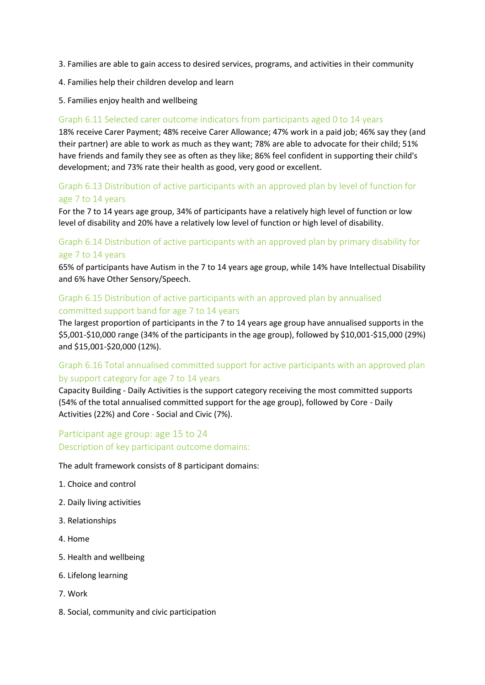- 3. Families are able to gain access to desired services, programs, and activities in their community
- 4. Families help their children develop and learn
- 5. Families enjoy health and wellbeing

#### Graph 6.11 Selected carer outcome indicators from participants aged 0 to 14 years

18% receive Carer Payment; 48% receive Carer Allowance; 47% work in a paid job; 46% say they (and their partner) are able to work as much as they want; 78% are able to advocate for their child; 51% have friends and family they see as often as they like; 86% feel confident in supporting their child's development; and 73% rate their health as good, very good or excellent.

#### Graph 6.13 Distribution of active participants with an approved plan by level of function for age 7 to 14 years

For the 7 to 14 years age group, 34% of participants have a relatively high level of function or low level of disability and 20% have a relatively low level of function or high level of disability.

## Graph 6.14 Distribution of active participants with an approved plan by primary disability for age 7 to 14 years

65% of participants have Autism in the 7 to 14 years age group, while 14% have Intellectual Disability and 6% have Other Sensory/Speech.

#### Graph 6.15 Distribution of active participants with an approved plan by annualised committed support band for age 7 to 14 years

The largest proportion of participants in the 7 to 14 years age group have annualised supports in the \$5,001-\$10,000 range (34% of the participants in the age group), followed by \$10,001-\$15,000 (29%) and \$15,001-\$20,000 (12%).

# Graph 6.16 Total annualised committed support for active participants with an approved plan by support category for age 7 to 14 years

Capacity Building - Daily Activities is the support category receiving the most committed supports (54% of the total annualised committed support for the age group), followed by Core - Daily Activities (22%) and Core - Social and Civic (7%).

# Participant age group: age 15 to 24 Description of key participant outcome domains:

The adult framework consists of 8 participant domains:

- 1. Choice and control
- 2. Daily living activities
- 3. Relationships
- 4. Home
- 5. Health and wellbeing
- 6. Lifelong learning
- 7. Work
- 8. Social, community and civic participation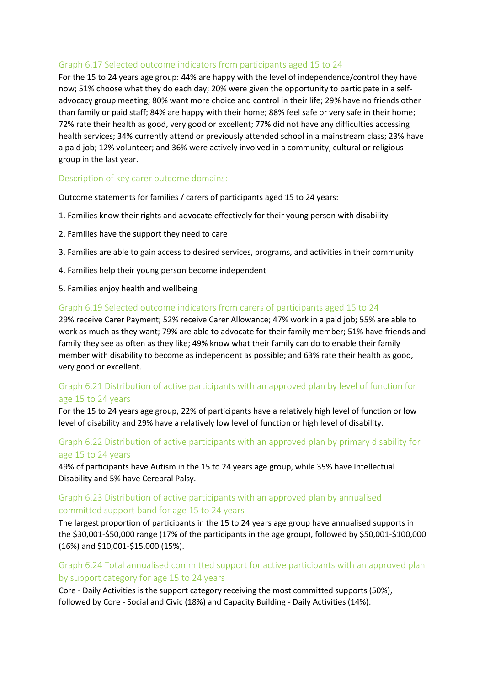#### Graph 6.17 Selected outcome indicators from participants aged 15 to 24

For the 15 to 24 years age group: 44% are happy with the level of independence/control they have now; 51% choose what they do each day; 20% were given the opportunity to participate in a selfadvocacy group meeting; 80% want more choice and control in their life; 29% have no friends other than family or paid staff; 84% are happy with their home; 88% feel safe or very safe in their home; 72% rate their health as good, very good or excellent; 77% did not have any difficulties accessing health services; 34% currently attend or previously attended school in a mainstream class; 23% have a paid job; 12% volunteer; and 36% were actively involved in a community, cultural or religious group in the last year.

#### Description of key carer outcome domains:

Outcome statements for families / carers of participants aged 15 to 24 years:

- 1. Families know their rights and advocate effectively for their young person with disability
- 2. Families have the support they need to care
- 3. Families are able to gain access to desired services, programs, and activities in their community
- 4. Families help their young person become independent
- 5. Families enjoy health and wellbeing

#### Graph 6.19 Selected outcome indicators from carers of participants aged 15 to 24

29% receive Carer Payment; 52% receive Carer Allowance; 47% work in a paid job; 55% are able to work as much as they want; 79% are able to advocate for their family member; 51% have friends and family they see as often as they like; 49% know what their family can do to enable their family member with disability to become as independent as possible; and 63% rate their health as good, very good or excellent.

#### Graph 6.21 Distribution of active participants with an approved plan by level of function for age 15 to 24 years

For the 15 to 24 years age group, 22% of participants have a relatively high level of function or low level of disability and 29% have a relatively low level of function or high level of disability.

#### Graph 6.22 Distribution of active participants with an approved plan by primary disability for age 15 to 24 years

49% of participants have Autism in the 15 to 24 years age group, while 35% have Intellectual Disability and 5% have Cerebral Palsy.

#### Graph 6.23 Distribution of active participants with an approved plan by annualised committed support band for age 15 to 24 years

The largest proportion of participants in the 15 to 24 years age group have annualised supports in the \$30,001-\$50,000 range (17% of the participants in the age group), followed by \$50,001-\$100,000 (16%) and \$10,001-\$15,000 (15%).

#### Graph 6.24 Total annualised committed support for active participants with an approved plan by support category for age 15 to 24 years

Core - Daily Activities is the support category receiving the most committed supports (50%), followed by Core - Social and Civic (18%) and Capacity Building - Daily Activities (14%).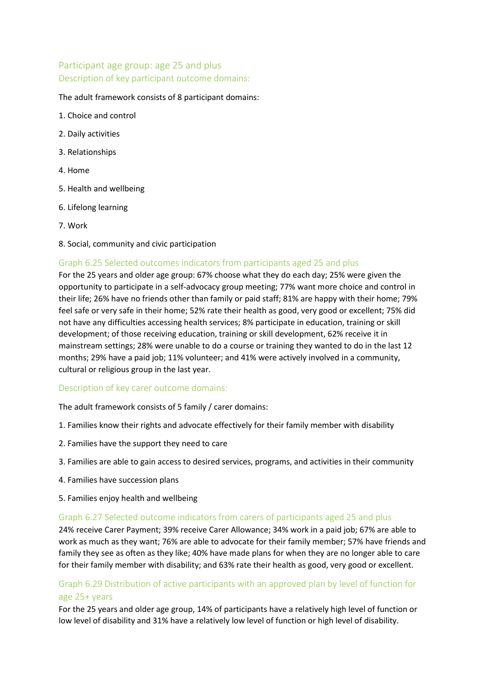# Participant age group: age 25 and plus Description of key participant outcome domains:

#### The adult framework consists of 8 participant domains:

- 1. Choice and control
- 2. Daily activities
- 3. Relationships
- 4. Home
- 5. Health and wellbeing
- 6. Lifelong learning
- 7. Work
- 8. Social, community and civic participation

#### Graph 6.25 Selected outcomes indicators from participants aged 25 and plus

For the 25 years and older age group: 67% choose what they do each day; 25% were given the opportunity to participate in a self-advocacy group meeting; 77% want more choice and control in their life; 26% have no friends other than family or paid staff; 81% are happy with their home; 79% feel safe or very safe in their home; 52% rate their health as good, very good or excellent; 75% did not have any difficulties accessing health services; 8% participate in education, training or skill development; of those receiving education, training or skill development, 62% receive it in mainstream settings; 28% were unable to do a course or training they wanted to do in the last 12 months; 29% have a paid job; 11% volunteer; and 41% were actively involved in a community, cultural or religious group in the last year.

#### Description of key carer outcome domains:

The adult framework consists of 5 family / carer domains:

- 1. Families know their rights and advocate effectively for their family member with disability
- 2. Families have the support they need to care
- 3. Families are able to gain access to desired services, programs, and activities in their community
- 4. Families have succession plans
- 5. Families enjoy health and wellbeing

#### Graph 6.27 Selected outcome indicators from carers of participants aged 25 and plus

24% receive Carer Payment; 39% receive Carer Allowance; 34% work in a paid job; 67% are able to work as much as they want; 76% are able to advocate for their family member; 57% have friends and family they see as often as they like; 40% have made plans for when they are no longer able to care for their family member with disability; and 63% rate their health as good, very good or excellent.

#### Graph 6.29 Distribution of active participants with an approved plan by level of function for age 25+ years

For the 25 years and older age group, 14% of participants have a relatively high level of function or low level of disability and 31% have a relatively low level of function or high level of disability.